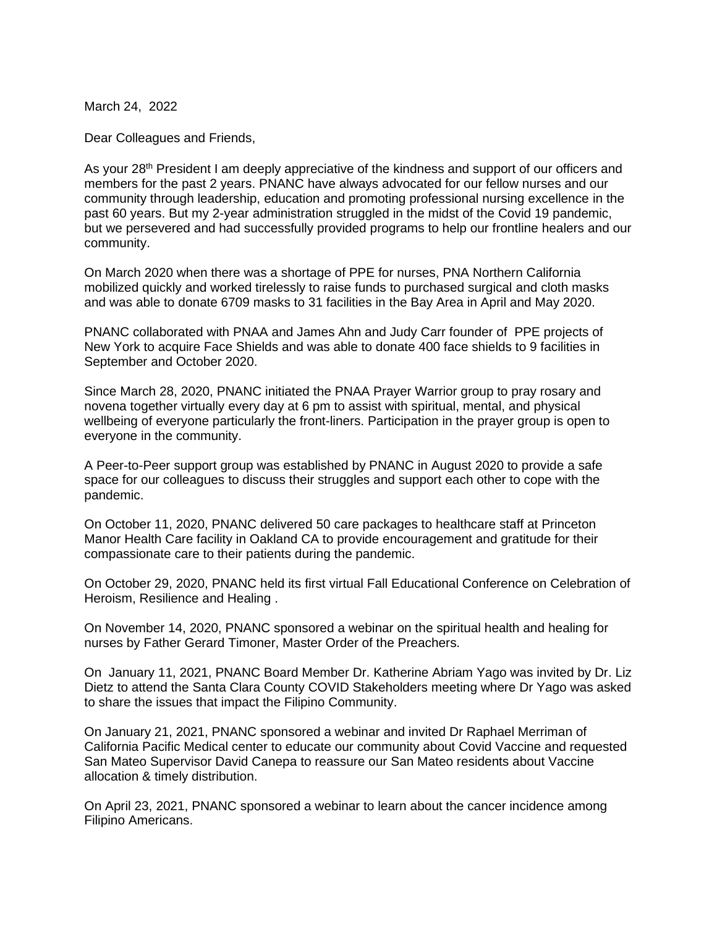March 24, 2022

Dear Colleagues and Friends,

As your 28<sup>th</sup> President I am deeply appreciative of the kindness and support of our officers and members for the past 2 years. PNANC have always advocated for our fellow nurses and our community through leadership, education and promoting professional nursing excellence in the past 60 years. But my 2-year administration struggled in the midst of the Covid 19 pandemic, but we persevered and had successfully provided programs to help our frontline healers and our community.

On March 2020 when there was a shortage of PPE for nurses, PNA Northern California mobilized quickly and worked tirelessly to raise funds to purchased surgical and cloth masks and was able to donate 6709 masks to 31 facilities in the Bay Area in April and May 2020.

PNANC collaborated with PNAA and James Ahn and Judy Carr founder of PPE projects of New York to acquire Face Shields and was able to donate 400 face shields to 9 facilities in September and October 2020.

Since March 28, 2020, PNANC initiated the PNAA Prayer Warrior group to pray rosary and novena together virtually every day at 6 pm to assist with spiritual, mental, and physical wellbeing of everyone particularly the front-liners. Participation in the prayer group is open to everyone in the community.

A Peer-to-Peer support group was established by PNANC in August 2020 to provide a safe space for our colleagues to discuss their struggles and support each other to cope with the pandemic.

On October 11, 2020, PNANC delivered 50 care packages to healthcare staff at Princeton Manor Health Care facility in Oakland CA to provide encouragement and gratitude for their compassionate care to their patients during the pandemic.

On October 29, 2020, PNANC held its first virtual Fall Educational Conference on Celebration of Heroism, Resilience and Healing .

On November 14, 2020, PNANC sponsored a webinar on the spiritual health and healing for nurses by Father Gerard Timoner, Master Order of the Preachers.

On January 11, 2021, PNANC Board Member Dr. Katherine Abriam Yago was invited by Dr. Liz Dietz to attend the Santa Clara County COVID Stakeholders meeting where Dr Yago was asked to share the issues that impact the Filipino Community.

On January 21, 2021, PNANC sponsored a webinar and invited Dr Raphael Merriman of California Pacific Medical center to educate our community about Covid Vaccine and requested San Mateo Supervisor David Canepa to reassure our San Mateo residents about Vaccine allocation & timely distribution.

On April 23, 2021, PNANC sponsored a webinar to learn about the cancer incidence among Filipino Americans.